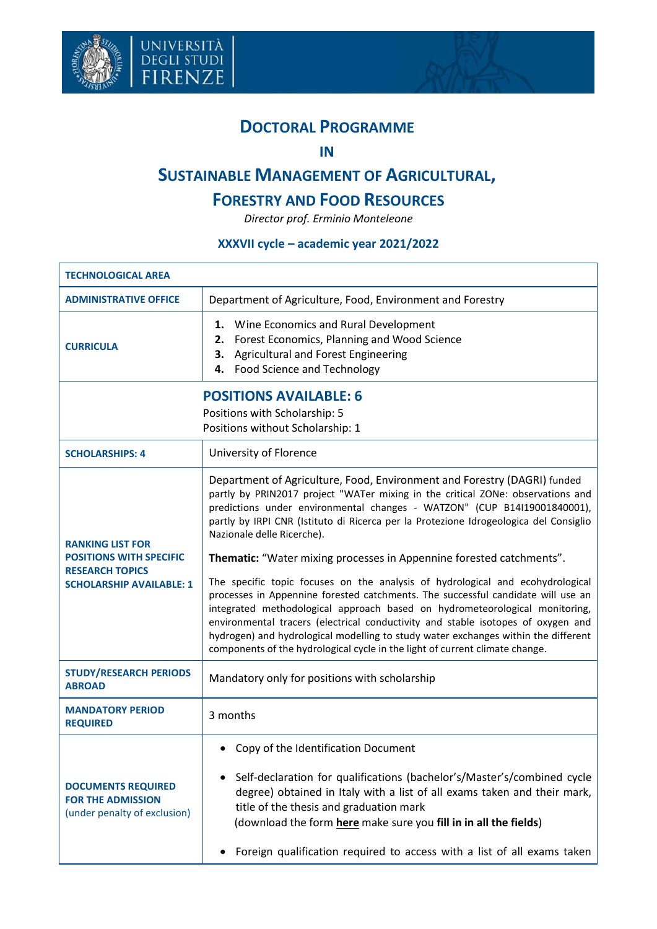



## **DOCTORAL PROGRAMME**

**IN**

## **SUSTAINABLE MANAGEMENT OF AGRICULTURAL,**

## **FORESTRY AND FOOD RESOURCES**

*Director prof. Erminio Monteleone*

## **XXXVII cycle – academic year 2021/2022**

| <b>TECHNOLOGICAL AREA</b>                                                                                              |                                                                                                                                                                                                                                                                                                                                                                                                                                                                                                                                                                                                                                                                                                                                                                                                                                                                                                                                                       |  |
|------------------------------------------------------------------------------------------------------------------------|-------------------------------------------------------------------------------------------------------------------------------------------------------------------------------------------------------------------------------------------------------------------------------------------------------------------------------------------------------------------------------------------------------------------------------------------------------------------------------------------------------------------------------------------------------------------------------------------------------------------------------------------------------------------------------------------------------------------------------------------------------------------------------------------------------------------------------------------------------------------------------------------------------------------------------------------------------|--|
| <b>ADMINISTRATIVE OFFICE</b>                                                                                           | Department of Agriculture, Food, Environment and Forestry                                                                                                                                                                                                                                                                                                                                                                                                                                                                                                                                                                                                                                                                                                                                                                                                                                                                                             |  |
| <b>CURRICULA</b>                                                                                                       | Wine Economics and Rural Development<br>1.<br>Forest Economics, Planning and Wood Science<br>2.<br>Agricultural and Forest Engineering<br>3.<br><b>Food Science and Technology</b><br>4.                                                                                                                                                                                                                                                                                                                                                                                                                                                                                                                                                                                                                                                                                                                                                              |  |
| <b>POSITIONS AVAILABLE: 6</b><br>Positions with Scholarship: 5<br>Positions without Scholarship: 1                     |                                                                                                                                                                                                                                                                                                                                                                                                                                                                                                                                                                                                                                                                                                                                                                                                                                                                                                                                                       |  |
| <b>SCHOLARSHIPS: 4</b>                                                                                                 | University of Florence                                                                                                                                                                                                                                                                                                                                                                                                                                                                                                                                                                                                                                                                                                                                                                                                                                                                                                                                |  |
| <b>RANKING LIST FOR</b><br><b>POSITIONS WITH SPECIFIC</b><br><b>RESEARCH TOPICS</b><br><b>SCHOLARSHIP AVAILABLE: 1</b> | Department of Agriculture, Food, Environment and Forestry (DAGRI) funded<br>partly by PRIN2017 project "WATer mixing in the critical ZONe: observations and<br>predictions under environmental changes - WATZON" (CUP B14I19001840001),<br>partly by IRPI CNR (Istituto di Ricerca per la Protezione Idrogeologica del Consiglio<br>Nazionale delle Ricerche).<br>Thematic: "Water mixing processes in Appennine forested catchments".<br>The specific topic focuses on the analysis of hydrological and ecohydrological<br>processes in Appennine forested catchments. The successful candidate will use an<br>integrated methodological approach based on hydrometeorological monitoring,<br>environmental tracers (electrical conductivity and stable isotopes of oxygen and<br>hydrogen) and hydrological modelling to study water exchanges within the different<br>components of the hydrological cycle in the light of current climate change. |  |
| <b>STUDY/RESEARCH PERIODS</b><br><b>ABROAD</b>                                                                         | Mandatory only for positions with scholarship                                                                                                                                                                                                                                                                                                                                                                                                                                                                                                                                                                                                                                                                                                                                                                                                                                                                                                         |  |
| <b>MANDATORY PERIOD</b><br><b>REQUIRED</b>                                                                             | 3 months                                                                                                                                                                                                                                                                                                                                                                                                                                                                                                                                                                                                                                                                                                                                                                                                                                                                                                                                              |  |
| <b>DOCUMENTS REQUIRED</b><br><b>FOR THE ADMISSION</b><br>(under penalty of exclusion)                                  | Copy of the Identification Document<br>Self-declaration for qualifications (bachelor's/Master's/combined cycle<br>degree) obtained in Italy with a list of all exams taken and their mark,<br>title of the thesis and graduation mark<br>(download the form here make sure you fill in in all the fields)<br>Foreign qualification required to access with a list of all exams taken                                                                                                                                                                                                                                                                                                                                                                                                                                                                                                                                                                  |  |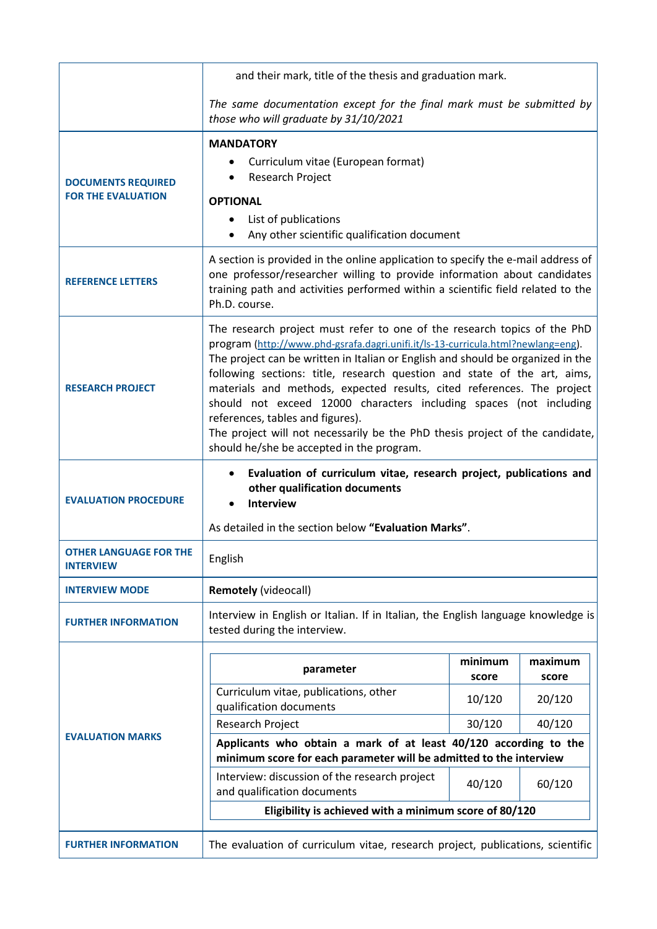|                                                        | and their mark, title of the thesis and graduation mark.                                                                                                                                                                                                                                                                                                                                                                                                                                                                                                                                                                                     |                  |                  |
|--------------------------------------------------------|----------------------------------------------------------------------------------------------------------------------------------------------------------------------------------------------------------------------------------------------------------------------------------------------------------------------------------------------------------------------------------------------------------------------------------------------------------------------------------------------------------------------------------------------------------------------------------------------------------------------------------------------|------------------|------------------|
|                                                        | The same documentation except for the final mark must be submitted by<br>those who will graduate by 31/10/2021                                                                                                                                                                                                                                                                                                                                                                                                                                                                                                                               |                  |                  |
| <b>DOCUMENTS REQUIRED</b><br><b>FOR THE EVALUATION</b> | <b>MANDATORY</b><br>Curriculum vitae (European format)<br>Research Project<br><b>OPTIONAL</b><br>List of publications<br>$\bullet$<br>Any other scientific qualification document                                                                                                                                                                                                                                                                                                                                                                                                                                                            |                  |                  |
| <b>REFERENCE LETTERS</b>                               | A section is provided in the online application to specify the e-mail address of<br>one professor/researcher willing to provide information about candidates<br>training path and activities performed within a scientific field related to the<br>Ph.D. course.                                                                                                                                                                                                                                                                                                                                                                             |                  |                  |
| <b>RESEARCH PROJECT</b>                                | The research project must refer to one of the research topics of the PhD<br>program (http://www.phd-gsrafa.dagri.unifi.it/ls-13-curricula.html?newlang=eng).<br>The project can be written in Italian or English and should be organized in the<br>following sections: title, research question and state of the art, aims,<br>materials and methods, expected results, cited references. The project<br>should not exceed 12000 characters including spaces (not including<br>references, tables and figures).<br>The project will not necessarily be the PhD thesis project of the candidate,<br>should he/she be accepted in the program. |                  |                  |
|                                                        | Evaluation of curriculum vitae, research project, publications and<br>other qualification documents<br><b>Interview</b><br>As detailed in the section below "Evaluation Marks".                                                                                                                                                                                                                                                                                                                                                                                                                                                              |                  |                  |
| <b>EVALUATION PROCEDURE</b>                            |                                                                                                                                                                                                                                                                                                                                                                                                                                                                                                                                                                                                                                              |                  |                  |
| <b>OTHER LANGUAGE FOR THE</b><br><b>INTERVIEW</b>      | English                                                                                                                                                                                                                                                                                                                                                                                                                                                                                                                                                                                                                                      |                  |                  |
| <b>INTERVIEW MODE</b>                                  | <b>Remotely (videocall)</b>                                                                                                                                                                                                                                                                                                                                                                                                                                                                                                                                                                                                                  |                  |                  |
| <b>FURTHER INFORMATION</b>                             | Interview in English or Italian. If in Italian, the English language knowledge is<br>tested during the interview.                                                                                                                                                                                                                                                                                                                                                                                                                                                                                                                            |                  |                  |
|                                                        | parameter                                                                                                                                                                                                                                                                                                                                                                                                                                                                                                                                                                                                                                    | minimum<br>score | maximum<br>score |
|                                                        | Curriculum vitae, publications, other<br>qualification documents                                                                                                                                                                                                                                                                                                                                                                                                                                                                                                                                                                             | 10/120           | 20/120           |
|                                                        | Research Project                                                                                                                                                                                                                                                                                                                                                                                                                                                                                                                                                                                                                             | 30/120           | 40/120           |
| <b>EVALUATION MARKS</b>                                | Applicants who obtain a mark of at least 40/120 according to the<br>minimum score for each parameter will be admitted to the interview                                                                                                                                                                                                                                                                                                                                                                                                                                                                                                       |                  |                  |
|                                                        | Interview: discussion of the research project<br>and qualification documents                                                                                                                                                                                                                                                                                                                                                                                                                                                                                                                                                                 | 40/120           | 60/120           |
|                                                        | Eligibility is achieved with a minimum score of 80/120                                                                                                                                                                                                                                                                                                                                                                                                                                                                                                                                                                                       |                  |                  |